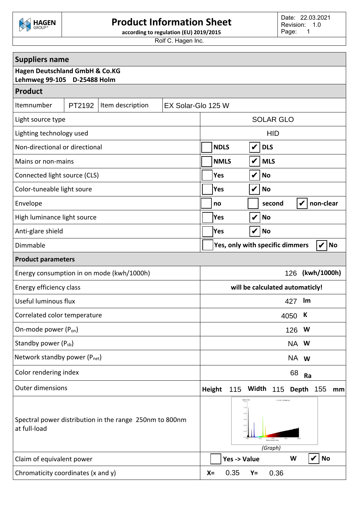

## **Product Information Sheet**

**according to regulation (EU) 2019/2015**

Rolf C. Hagen Inc.

| <b>Suppliers name</b>                                                    |                                                                                                           |  |  |
|--------------------------------------------------------------------------|-----------------------------------------------------------------------------------------------------------|--|--|
| <b>Hagen Deutschland GmbH &amp; Co.KG</b><br>Lehmweg 99-105 D-25488 Holm |                                                                                                           |  |  |
| <b>Product</b>                                                           |                                                                                                           |  |  |
| Itemnumber<br>PT2192<br>Item description                                 | EX Solar-Glo 125 W                                                                                        |  |  |
| Light source type                                                        | <b>SOLAR GLO</b>                                                                                          |  |  |
| Lighting technology used                                                 | <b>HID</b>                                                                                                |  |  |
| Non-directional or directional                                           | <b>NDLS</b><br>V<br><b>DLS</b>                                                                            |  |  |
| Mains or non-mains                                                       | $\boldsymbol{\mathcal{U}}$<br><b>NMLS</b><br><b>MLS</b>                                                   |  |  |
| Connected light source (CLS)                                             | V<br><b>Yes</b><br><b>No</b>                                                                              |  |  |
| Color-tuneable light soure                                               | $\boldsymbol{\mathcal{U}}$<br>Yes<br><b>No</b>                                                            |  |  |
| Envelope                                                                 | non-clear<br>second<br>V<br>no                                                                            |  |  |
| High luminance light source                                              | $\boldsymbol{\mathcal{U}}$<br>Yes<br><b>No</b>                                                            |  |  |
| Anti-glare shield                                                        | V<br><b>No</b><br>Yes                                                                                     |  |  |
| Dimmable                                                                 | Yes, only with specific dimmers<br><b>No</b><br>V                                                         |  |  |
| <b>Product parameters</b>                                                |                                                                                                           |  |  |
| Energy consumption in on mode (kwh/1000h)                                | (kwh/1000h)<br>126                                                                                        |  |  |
| Energy efficiency class                                                  | will be calculated automaticly!                                                                           |  |  |
| Useful luminous flux                                                     | Im<br>427                                                                                                 |  |  |
| Correlated color temperature                                             | К<br>4050                                                                                                 |  |  |
| On-mode power (P <sub>on</sub> )                                         | 126<br>W                                                                                                  |  |  |
| Standby power (P <sub>sb</sub> )                                         | NA W                                                                                                      |  |  |
| Network standby power (P <sub>net</sub> )                                | NA w                                                                                                      |  |  |
| Color rendering index                                                    | 68<br>Ra                                                                                                  |  |  |
| <b>Outer dimensions</b>                                                  | <b>Height</b><br>Width<br>115<br>115 Depth 155<br>mm                                                      |  |  |
| Spectral power distribution in the range 250nm to 800nm<br>at full-load  | $1.0 + 99.388nW/nt$<br>Spectr<br>۱.2<br>0.8<br>0.6<br>0.4<br>$0.2 -$<br>675<br>Wavelength (nm)<br>(Graph) |  |  |
| Claim of equivalent power                                                | Yes -> Value<br><b>No</b><br>W                                                                            |  |  |
| Chromaticity coordinates (x and y)                                       | 0.35<br>0.36<br>$X =$<br>Y=                                                                               |  |  |